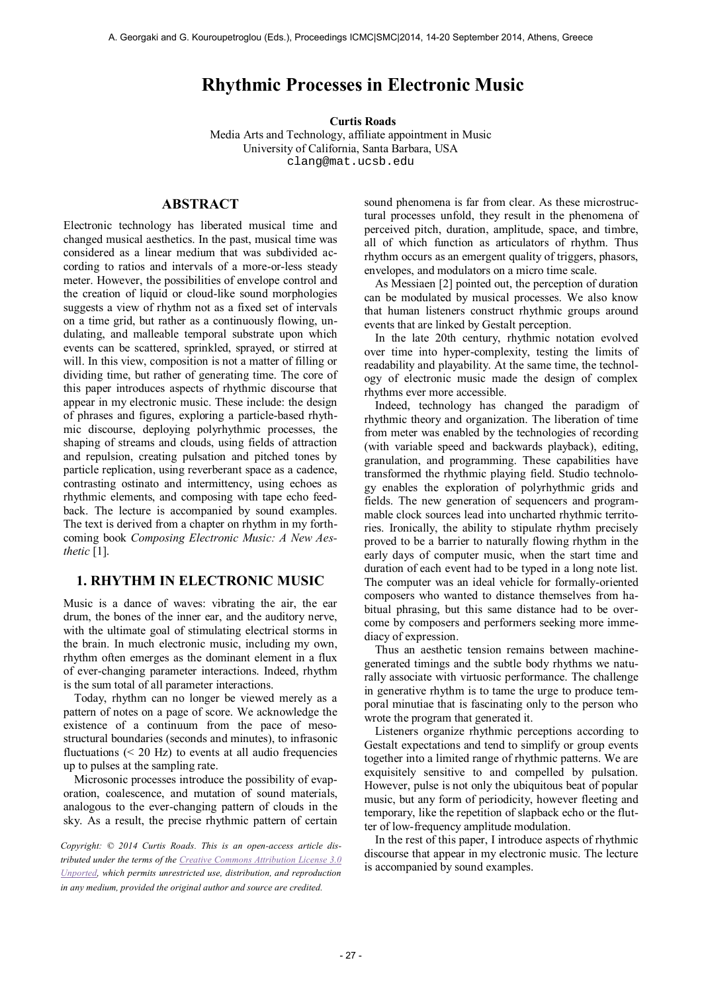# **Rhythmic Processes in Electronic Music**

**Curtis Roads** 

Media Arts and Technology, affiliate appointment in Music University of California, Santa Barbara, USA clang@mat.ucsb.edu

# **ABSTRACT**

Electronic technology has liberated musical time and changed musical aesthetics. In the past, musical time was considered as a linear medium that was subdivided according to ratios and intervals of a more-or-less steady meter. However, the possibilities of envelope control and the creation of liquid or cloud-like sound morphologies suggests a view of rhythm not as a fixed set of intervals on a time grid, but rather as a continuously flowing, undulating, and malleable temporal substrate upon which events can be scattered, sprinkled, sprayed, or stirred at will. In this view, composition is not a matter of filling or dividing time, but rather of generating time. The core of this paper introduces aspects of rhythmic discourse that appear in my electronic music. These include: the design of phrases and figures, exploring a particle-based rhythmic discourse, deploying polyrhythmic processes, the shaping of streams and clouds, using fields of attraction and repulsion, creating pulsation and pitched tones by particle replication, using reverberant space as a cadence, contrasting ostinato and intermittency, using echoes as rhythmic elements, and composing with tape echo feedback. The lecture is accompanied by sound examples. The text is derived from a chapter on rhythm in my forthcoming book *Composing Electronic Music: A New Aesthetic* [1].

### **1. RHYTHM IN ELECTRONIC MUSIC**

Music is a dance of waves: vibrating the air, the ear drum, the bones of the inner ear, and the auditory nerve, with the ultimate goal of stimulating electrical storms in the brain. In much electronic music, including my own, rhythm often emerges as the dominant element in a flux of ever-changing parameter interactions. Indeed, rhythm is the sum total of all parameter interactions.

Today, rhythm can no longer be viewed merely as a pattern of notes on a page of score. We acknowledge the existence of a continuum from the pace of mesostructural boundaries (seconds and minutes), to infrasonic fluctuations  $( $20$  Hz) to events at all audio frequencies$ up to pulses at the sampling rate.

Microsonic processes introduce the possibility of evaporation, coalescence, and mutation of sound materials, analogous to the ever-changing pattern of clouds in the sky. As a result, the precise rhythmic pattern of certain

*Copyright: © 2014 Curtis Roads. This is an open-access article distributed under the terms of the [Creative Commons Attribution License 3.0](http://creativecommons.org/licenses/by/3.0/)  [Unported,](http://creativecommons.org/licenses/by/3.0/) which permits unrestricted use, distribution, and reproduction in any medium, provided the original author and source are credited.*

sound phenomena is far from clear. As these microstructural processes unfold, they result in the phenomena of perceived pitch, duration, amplitude, space, and timbre, all of which function as articulators of rhythm. Thus rhythm occurs as an emergent quality of triggers, phasors, envelopes, and modulators on a micro time scale.

As Messiaen [2] pointed out, the perception of duration can be modulated by musical processes. We also know that human listeners construct rhythmic groups around events that are linked by Gestalt perception.

In the late 20th century, rhythmic notation evolved over time into hyper-complexity, testing the limits of readability and playability. At the same time, the technology of electronic music made the design of complex rhythms ever more accessible.

Indeed, technology has changed the paradigm of rhythmic theory and organization. The liberation of time from meter was enabled by the technologies of recording (with variable speed and backwards playback), editing, granulation, and programming. These capabilities have transformed the rhythmic playing field. Studio technology enables the exploration of polyrhythmic grids and fields. The new generation of sequencers and programmable clock sources lead into uncharted rhythmic territories. Ironically, the ability to stipulate rhythm precisely proved to be a barrier to naturally flowing rhythm in the early days of computer music, when the start time and duration of each event had to be typed in a long note list. The computer was an ideal vehicle for formally-oriented composers who wanted to distance themselves from habitual phrasing, but this same distance had to be overcome by composers and performers seeking more immediacy of expression.

Thus an aesthetic tension remains between machinegenerated timings and the subtle body rhythms we naturally associate with virtuosic performance. The challenge in generative rhythm is to tame the urge to produce temporal minutiae that is fascinating only to the person who wrote the program that generated it.

Listeners organize rhythmic perceptions according to Gestalt expectations and tend to simplify or group events together into a limited range of rhythmic patterns. We are exquisitely sensitive to and compelled by pulsation. However, pulse is not only the ubiquitous beat of popular music, but any form of periodicity, however fleeting and temporary, like the repetition of slapback echo or the flutter of low-frequency amplitude modulation.

In the rest of this paper, I introduce aspects of rhythmic discourse that appear in my electronic music. The lecture is accompanied by sound examples.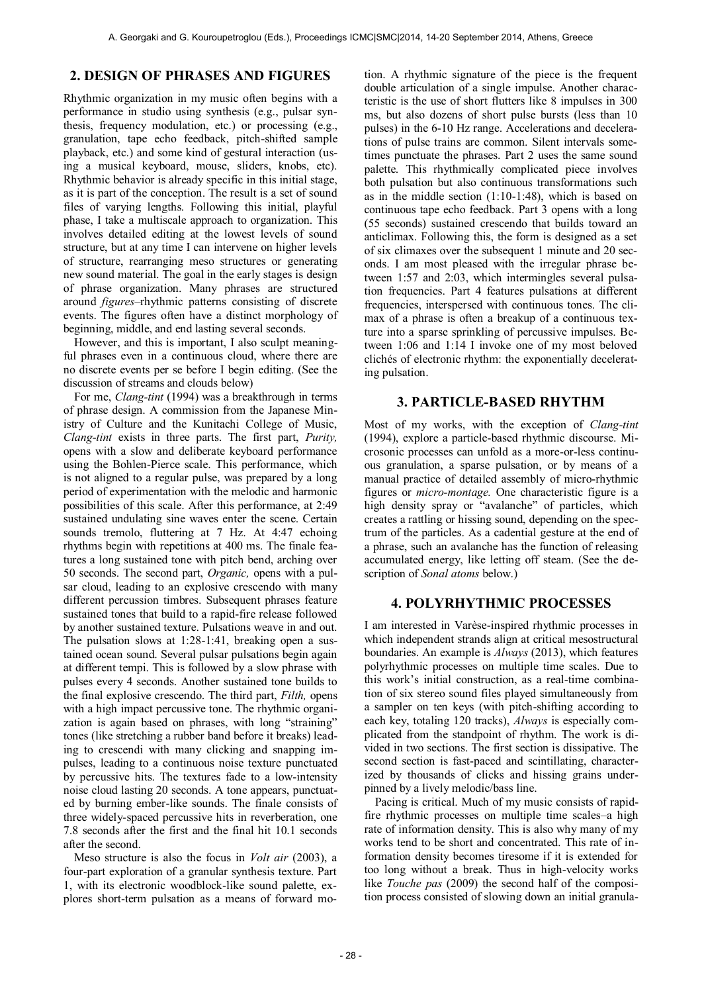### **2. DESIGN OF PHRASES AND FIGURES**

Rhythmic organization in my music often begins with a performance in studio using synthesis (e.g., pulsar synthesis, frequency modulation, etc.) or processing (e.g., granulation, tape echo feedback, pitch-shifted sample playback, etc.) and some kind of gestural interaction (using a musical keyboard, mouse, sliders, knobs, etc). Rhythmic behavior is already specific in this initial stage, as it is part of the conception. The result is a set of sound files of varying lengths. Following this initial, playful phase, I take a multiscale approach to organization. This involves detailed editing at the lowest levels of sound structure, but at any time I can intervene on higher levels of structure, rearranging meso structures or generating new sound material. The goal in the early stages is design of phrase organization. Many phrases are structured around *figures*–rhythmic patterns consisting of discrete events. The figures often have a distinct morphology of beginning, middle, and end lasting several seconds.

However, and this is important, I also sculpt meaningful phrases even in a continuous cloud, where there are no discrete events per se before I begin editing. (See the discussion of streams and clouds below)

For me, *Clang-tint* (1994) was a breakthrough in terms of phrase design. A commission from the Japanese Ministry of Culture and the Kunitachi College of Music, *Clang-tint* exists in three parts. The first part, *Purity,* opens with a slow and deliberate keyboard performance using the Bohlen-Pierce scale. This performance, which is not aligned to a regular pulse, was prepared by a long period of experimentation with the melodic and harmonic possibilities of this scale. After this performance, at 2:49 sustained undulating sine waves enter the scene. Certain sounds tremolo, fluttering at 7 Hz. At 4:47 echoing rhythms begin with repetitions at 400 ms. The finale features a long sustained tone with pitch bend, arching over 50 seconds. The second part, *Organic,* opens with a pulsar cloud, leading to an explosive crescendo with many different percussion timbres. Subsequent phrases feature sustained tones that build to a rapid-fire release followed by another sustained texture. Pulsations weave in and out. The pulsation slows at 1:28-1:41, breaking open a sustained ocean sound. Several pulsar pulsations begin again at different tempi. This is followed by a slow phrase with pulses every 4 seconds. Another sustained tone builds to the final explosive crescendo. The third part, *Filth,* opens with a high impact percussive tone. The rhythmic organization is again based on phrases, with long "straining" tones (like stretching a rubber band before it breaks) leading to crescendi with many clicking and snapping impulses, leading to a continuous noise texture punctuated by percussive hits. The textures fade to a low-intensity noise cloud lasting 20 seconds. A tone appears, punctuated by burning ember-like sounds. The finale consists of three widely-spaced percussive hits in reverberation, one 7.8 seconds after the first and the final hit 10.1 seconds after the second.

Meso structure is also the focus in *Volt air* (2003), a four-part exploration of a granular synthesis texture. Part 1, with its electronic woodblock-like sound palette, explores short-term pulsation as a means of forward motion. A rhythmic signature of the piece is the frequent double articulation of a single impulse. Another characteristic is the use of short flutters like 8 impulses in 300 ms, but also dozens of short pulse bursts (less than 10 pulses) in the 6-10 Hz range. Accelerations and decelerations of pulse trains are common. Silent intervals sometimes punctuate the phrases. Part 2 uses the same sound palette. This rhythmically complicated piece involves both pulsation but also continuous transformations such as in the middle section  $(1:10-1:48)$ , which is based on continuous tape echo feedback. Part 3 opens with a long (55 seconds) sustained crescendo that builds toward an anticlimax. Following this, the form is designed as a set of six climaxes over the subsequent 1 minute and 20 seconds. I am most pleased with the irregular phrase between 1:57 and 2:03, which intermingles several pulsation frequencies. Part 4 features pulsations at different frequencies, interspersed with continuous tones. The climax of a phrase is often a breakup of a continuous texture into a sparse sprinkling of percussive impulses. Between 1:06 and 1:14 I invoke one of my most beloved clichés of electronic rhythm: the exponentially decelerating pulsation.

### **3. PARTICLE-BASED RHYTHM**

Most of my works, with the exception of *Clang-tint* (1994), explore a particle-based rhythmic discourse. Microsonic processes can unfold as a more-or-less continuous granulation, a sparse pulsation, or by means of a manual practice of detailed assembly of micro-rhythmic figures or *micro-montage.* One characteristic figure is a high density spray or "avalanche" of particles, which creates a rattling or hissing sound, depending on the spectrum of the particles. As a cadential gesture at the end of a phrase, such an avalanche has the function of releasing accumulated energy, like letting off steam. (See the description of *Sonal atoms* below.)

### **4. POLYRHYTHMIC PROCESSES**

I am interested in Varèse-inspired rhythmic processes in which independent strands align at critical mesostructural boundaries. An example is *Always* (2013), which features polyrhythmic processes on multiple time scales. Due to this work's initial construction, as a real-time combination of six stereo sound files played simultaneously from a sampler on ten keys (with pitch-shifting according to each key, totaling 120 tracks), *Always* is especially complicated from the standpoint of rhythm. The work is divided in two sections. The first section is dissipative. The second section is fast-paced and scintillating, characterized by thousands of clicks and hissing grains underpinned by a lively melodic/bass line.

Pacing is critical. Much of my music consists of rapidfire rhythmic processes on multiple time scales–a high rate of information density. This is also why many of my works tend to be short and concentrated. This rate of information density becomes tiresome if it is extended for too long without a break. Thus in high-velocity works like *Touche pas* (2009) the second half of the composition process consisted of slowing down an initial granula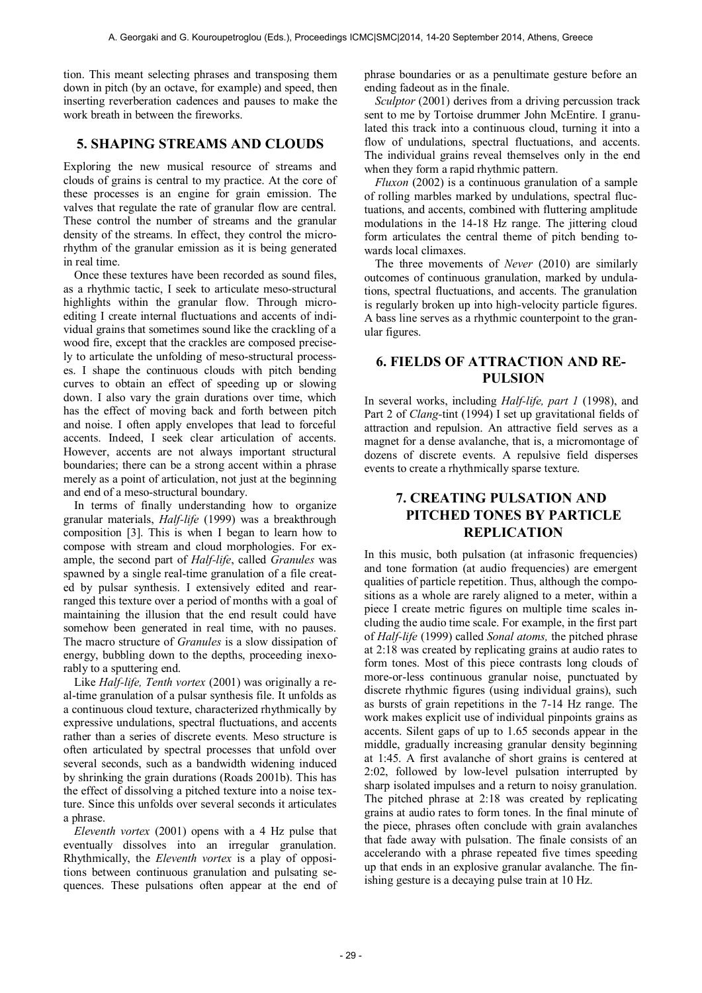tion. This meant selecting phrases and transposing them down in pitch (by an octave, for example) and speed, then inserting reverberation cadences and pauses to make the work breath in between the fireworks.

# **5. SHAPING STREAMS AND CLOUDS**

Exploring the new musical resource of streams and clouds of grains is central to my practice. At the core of these processes is an engine for grain emission. The valves that regulate the rate of granular flow are central. These control the number of streams and the granular density of the streams. In effect, they control the microrhythm of the granular emission as it is being generated in real time.

Once these textures have been recorded as sound files, as a rhythmic tactic, I seek to articulate meso-structural highlights within the granular flow. Through microediting I create internal fluctuations and accents of individual grains that sometimes sound like the crackling of a wood fire, except that the crackles are composed precisely to articulate the unfolding of meso-structural processes. I shape the continuous clouds with pitch bending curves to obtain an effect of speeding up or slowing down. I also vary the grain durations over time, which has the effect of moving back and forth between pitch and noise. I often apply envelopes that lead to forceful accents. Indeed, I seek clear articulation of accents. However, accents are not always important structural boundaries; there can be a strong accent within a phrase merely as a point of articulation, not just at the beginning and end of a meso-structural boundary.

In terms of finally understanding how to organize granular materials, *Half-life* (1999) was a breakthrough composition [3]. This is when I began to learn how to compose with stream and cloud morphologies. For example, the second part of *Half-life*, called *Granules* was spawned by a single real-time granulation of a file created by pulsar synthesis. I extensively edited and rearranged this texture over a period of months with a goal of maintaining the illusion that the end result could have somehow been generated in real time, with no pauses. The macro structure of *Granules* is a slow dissipation of energy, bubbling down to the depths, proceeding inexorably to a sputtering end.

Like *Half-life, Tenth vortex* (2001) was originally a real-time granulation of a pulsar synthesis file. It unfolds as a continuous cloud texture, characterized rhythmically by expressive undulations, spectral fluctuations, and accents rather than a series of discrete events*.* Meso structure is often articulated by spectral processes that unfold over several seconds, such as a bandwidth widening induced by shrinking the grain durations (Roads 2001b). This has the effect of dissolving a pitched texture into a noise texture. Since this unfolds over several seconds it articulates a phrase.

*Eleventh vortex* (2001) opens with a 4 Hz pulse that eventually dissolves into an irregular granulation. Rhythmically, the *Eleventh vortex* is a play of oppositions between continuous granulation and pulsating sequences. These pulsations often appear at the end of phrase boundaries or as a penultimate gesture before an ending fadeout as in the finale.

*Sculptor* (2001) derives from a driving percussion track sent to me by Tortoise drummer John McEntire. I granulated this track into a continuous cloud, turning it into a flow of undulations, spectral fluctuations, and accents. The individual grains reveal themselves only in the end when they form a rapid rhythmic pattern.

*Fluxon* (2002) is a continuous granulation of a sample of rolling marbles marked by undulations, spectral fluctuations, and accents, combined with fluttering amplitude modulations in the 14-18 Hz range. The jittering cloud form articulates the central theme of pitch bending towards local climaxes.

The three movements of *Never* (2010) are similarly outcomes of continuous granulation, marked by undulations, spectral fluctuations, and accents. The granulation is regularly broken up into high-velocity particle figures. A bass line serves as a rhythmic counterpoint to the granular figures.

### **6. FIELDS OF ATTRACTION AND RE-PULSION**

In several works, including *Half-life, part 1* (1998), and Part 2 of *Clang-*tint (1994) I set up gravitational fields of attraction and repulsion. An attractive field serves as a magnet for a dense avalanche, that is, a micromontage of dozens of discrete events. A repulsive field disperses events to create a rhythmically sparse texture.

# **7. CREATING PULSATION AND PITCHED TONES BY PARTICLE REPLICATION**

In this music, both pulsation (at infrasonic frequencies) and tone formation (at audio frequencies) are emergent qualities of particle repetition. Thus, although the compositions as a whole are rarely aligned to a meter, within a piece I create metric figures on multiple time scales including the audio time scale. For example, in the first part of *Half-life* (1999) called *Sonal atoms,* the pitched phrase at 2:18 was created by replicating grains at audio rates to form tones. Most of this piece contrasts long clouds of more-or-less continuous granular noise, punctuated by discrete rhythmic figures (using individual grains), such as bursts of grain repetitions in the 7-14 Hz range. The work makes explicit use of individual pinpoints grains as accents. Silent gaps of up to 1.65 seconds appear in the middle, gradually increasing granular density beginning at 1:45. A first avalanche of short grains is centered at 2:02, followed by low-level pulsation interrupted by sharp isolated impulses and a return to noisy granulation. The pitched phrase at 2:18 was created by replicating grains at audio rates to form tones. In the final minute of the piece, phrases often conclude with grain avalanches that fade away with pulsation. The finale consists of an accelerando with a phrase repeated five times speeding up that ends in an explosive granular avalanche. The finishing gesture is a decaying pulse train at 10 Hz.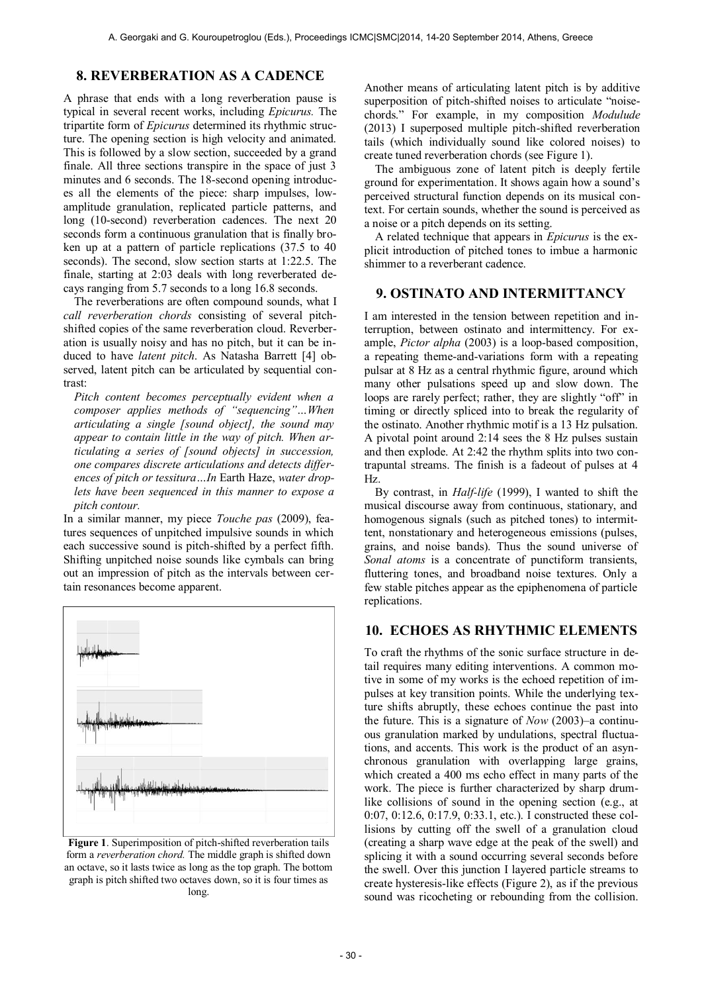### **8. REVERBERATION AS A CADENCE**

A phrase that ends with a long reverberation pause is typical in several recent works, including *Epicurus.* The tripartite form of *Epicurus* determined its rhythmic structure. The opening section is high velocity and animated. This is followed by a slow section, succeeded by a grand finale. All three sections transpire in the space of just 3 minutes and 6 seconds. The 18-second opening introduces all the elements of the piece: sharp impulses, lowamplitude granulation, replicated particle patterns, and long (10-second) reverberation cadences. The next 20 seconds form a continuous granulation that is finally broken up at a pattern of particle replications (37.5 to 40 seconds). The second, slow section starts at 1:22.5. The finale, starting at 2:03 deals with long reverberated decays ranging from 5.7 seconds to a long 16.8 seconds.

The reverberations are often compound sounds, what I *call reverberation chords* consisting of several pitchshifted copies of the same reverberation cloud. Reverberation is usually noisy and has no pitch, but it can be induced to have *latent pitch*. As Natasha Barrett [4] observed, latent pitch can be articulated by sequential contrast:

*Pitch content becomes perceptually evident when a composer applies methods of "sequencing"…When articulating a single [sound object], the sound may appear to contain little in the way of pitch. When articulating a series of [sound objects] in succession, one compares discrete articulations and detects differences of pitch or tessitura…In* Earth Haze, *water droplets have been sequenced in this manner to expose a pitch contour.* 

In a similar manner, my piece *Touche pas* (2009), features sequences of unpitched impulsive sounds in which each successive sound is pitch-shifted by a perfect fifth. Shifting unpitched noise sounds like cymbals can bring out an impression of pitch as the intervals between certain resonances become apparent.



**Figure 1**. Superimposition of pitch-shifted reverberation tails form a *reverberation chord.* The middle graph is shifted down an octave, so it lasts twice as long as the top graph. The bottom graph is pitch shifted two octaves down, so it is four times as long.

Another means of articulating latent pitch is by additive superposition of pitch-shifted noises to articulate "noisechords." For example, in my composition *Modulude* (2013) I superposed multiple pitch-shifted reverberation tails (which individually sound like colored noises) to create tuned reverberation chords (see Figure 1).

The ambiguous zone of latent pitch is deeply fertile ground for experimentation. It shows again how a sound's perceived structural function depends on its musical context. For certain sounds, whether the sound is perceived as a noise or a pitch depends on its setting.

A related technique that appears in *Epicurus* is the explicit introduction of pitched tones to imbue a harmonic shimmer to a reverberant cadence.

### **9. OSTINATO AND INTERMITTANCY**

I am interested in the tension between repetition and interruption, between ostinato and intermittency. For example, *Pictor alpha* (2003) is a loop-based composition, a repeating theme-and-variations form with a repeating pulsar at 8 Hz as a central rhythmic figure, around which many other pulsations speed up and slow down. The loops are rarely perfect; rather, they are slightly "off" in timing or directly spliced into to break the regularity of the ostinato. Another rhythmic motif is a 13 Hz pulsation. A pivotal point around 2:14 sees the 8 Hz pulses sustain and then explode. At 2:42 the rhythm splits into two contrapuntal streams. The finish is a fadeout of pulses at 4 Hz.

By contrast, in *Half-life* (1999), I wanted to shift the musical discourse away from continuous, stationary, and homogenous signals (such as pitched tones) to intermittent, nonstationary and heterogeneous emissions (pulses, grains, and noise bands). Thus the sound universe of *Sonal atoms* is a concentrate of punctiform transients, fluttering tones, and broadband noise textures. Only a few stable pitches appear as the epiphenomena of particle replications.

### **10. ECHOES AS RHYTHMIC ELEMENTS**

To craft the rhythms of the sonic surface structure in detail requires many editing interventions. A common motive in some of my works is the echoed repetition of impulses at key transition points. While the underlying texture shifts abruptly, these echoes continue the past into the future. This is a signature of *Now* (2003)–a continuous granulation marked by undulations, spectral fluctuations, and accents. This work is the product of an asynchronous granulation with overlapping large grains, which created a 400 ms echo effect in many parts of the work. The piece is further characterized by sharp drumlike collisions of sound in the opening section (e.g., at 0:07, 0:12.6, 0:17.9, 0:33.1, etc.). I constructed these collisions by cutting off the swell of a granulation cloud (creating a sharp wave edge at the peak of the swell) and splicing it with a sound occurring several seconds before the swell. Over this junction I layered particle streams to create hysteresis-like effects (Figure 2), as if the previous sound was ricocheting or rebounding from the collision.